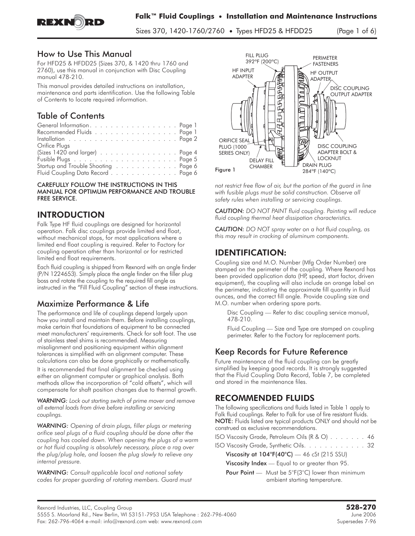

REXNORD

Sizes 370, 1420-1760/2760 • Types HFD25 & HFDD25 (Page 1 of 6)

### How to Use This Manual

For HFD25 & HFDD25 (Sizes 370, & 1420 thru 1760 and 2760), use this manual in conjunction with Disc Coupling manual 478-210.

This manual provides detailed instructions on installation, maintenance and parts identification. Use the following Table of Contents to locate required information.

# Table of Contents

| General Information. Page 1                                                     |  |
|---------------------------------------------------------------------------------|--|
| Recommended Fluids Page 1                                                       |  |
| Installation $\ldots \ldots \ldots \ldots \ldots \ldots \ldots \ldots$ . Page 2 |  |
| Orifice Plugs                                                                   |  |
| (Sizes 1420 and larger) Page 4                                                  |  |
|                                                                                 |  |
| Startup and Trouble Shooting Page 6                                             |  |
| Fluid Coupling Data Record Page 6                                               |  |

CAREFULLY FOLLOW THE INSTRUCTIONS IN THIS MANUAL FOR OPTIMUM PERFORMANCE AND TROUBLE FREE SERVICE.

## INTRODUCTION

Falk Type HF fluid couplings are designed for horizontal operation. Falk disc couplings provide limited end float, without mechanical stops, for most applications where a limited end float coupling is required. Refer to Factory for coupling operation other than horizontal or for restricted limited end float requirements.

Each fluid coupling is shipped from Rexnord with an angle finder (P/N 1224653). Simply place the angle finder on the filler plug boss and rotate the coupling to the required fill angle as instructed in the "Fill Fluid Coupling" section of these instructions.

## Maximize Performance & Life

The performance and life of couplings depend largely upon how you install and maintain them. Before installing couplings, make certain that foundations of equipment to be connected meet manufacturers' requirements. Check for soft foot. The use of stainless steel shims is recommended. Measuring misalignment and positioning equipment within alignment tolerances is simplified with an alignment computer. These calculations can also be done graphically or mathematically.

It is recommended that final alignment be checked using either an alignment computer or graphical analysis. Both methods allow the incorporation of "cold offsets", which will compensate for shaft position changes due to thermal growth.

*WARNING: Lock out starting switch of prime mover and remove all external loads from drive before installing or servicing couplings.*

*WARNING: Opening of drain plugs, filler plugs or metering orifice seal plugs of a fluid coupling should be done after the coupling has cooled down. When opening the plugs of a warm or hot fluid coupling is absolutely necessary, place a rag over the plug/plug hole, and loosen the plug slowly to relieve any internal pressure.*

*WARNING: Consult applicable local and national safety codes for proper guarding of rotating members. Guard must*



*not restrict free flow of air, but the portion of the guard in line with fusible plugs must be solid construction. Observe all safety rules when installing or servicing couplings.*

*CAUTION: DO NOT PAINT fluid coupling. Painting will reduce fluid coupling thermal heat dissipation characteristics.*

*CAUTION: DO NOT spray water on a hot fluid coupling, as this may result in cracking of aluminum components.*

## IDENTIFICATION:

Coupling size and M.O. Number (Mfg Order Number) are stamped on the perimeter of the coupling. Where Rexnord has been provided application data (HP, speed, start factor, driven equipment), the coupling will also include an orange label on the perimeter, indicating the approximate fill quantity in fluid ounces, and the correct fill angle. Provide coupling size and M.O. number when ordering spare parts.

Disc Coupling — Refer to disc coupling service manual, 478-210.

Fluid Coupling — Size and Type are stamped on coupling perimeter. Refer to the Factory for replacement parts.

## Keep Records for Future Reference

Future maintenance of the fluid coupling can be greatly simplified by keeping good records. It is strongly suggested that the Fluid Coupling Data Record, Table 7, be completed and stored in the maintenance files.

### RECOMMENDED FLUIDS

The following specifications and fluids listed in Table 1 apply to Falk fluid couplings. Refer to Falk for use of fire resistant fluids. NOTE: Fluids listed are typical products ONLY and should not be construed as exclusive recommendations.

| ISO Viscosity Grade, Petroleum Oils $(R & O)$ 46 |  |  |  |  |  |  |
|--------------------------------------------------|--|--|--|--|--|--|
| ISO Viscosity Grade, Synthetic Oils. 32          |  |  |  |  |  |  |

Viscosity at  $104^\circ F(40^\circ C)$  - 46 cSt (215 SSU)

Viscosity Index — Equal to or greater than 95.

Pour Point — Must be 5°F(3°C) lower than minimum ambient starting temperature.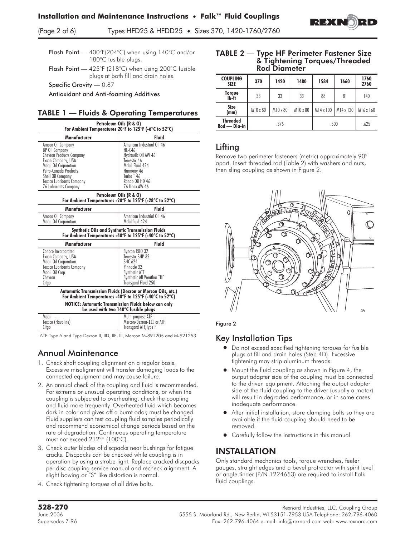(Page 2 of 6) Types HFD25 & HFDD25 • Sizes 370, 1420-1760/2760

Flash Point — 400°F(204°C) when using 140°C and/or 180°C fusible plugs.

Flash Point — 425°F (218°C) when using 200°C fusible plugs at both fill and drain holes.

Specific Gravity — 0.87

Antioxidant and Anti-foaming Additives

### TABLE 1 — Fluids & Operating Temperatures

| Petroleum Oils (R & O)<br>For Ambient Temperatures 20°F to 125°F (-6°C to 52°C)                                                                                                                                           |                                                                                                                                                                          |  |  |  |  |
|---------------------------------------------------------------------------------------------------------------------------------------------------------------------------------------------------------------------------|--------------------------------------------------------------------------------------------------------------------------------------------------------------------------|--|--|--|--|
| Manufacturer                                                                                                                                                                                                              | <b>Fluid</b>                                                                                                                                                             |  |  |  |  |
| Amoco Oil Company<br><b>BP Oil Company</b><br>Chevron Products Company<br>Exxon Company, USA<br>Mobil Oil Corporation<br>Petro-Canada Products<br>Shell Oil Company<br>Texaco Lubricants Company<br>76 Lubricants Company | American Industrial Oil 46<br>$HL-0.46$<br>Hydraulic Oil AW 46<br>Teresstic 46<br>Mobil Fluid 424<br>Harmony 46<br>Turbo T 46<br>Rando Oil HD 46<br><b>76 Unax AW 46</b> |  |  |  |  |

## Petroleum Oils (R & O)

| For Ambient Temperatures -20°F to 125°F (-28°C to 52°C) |                                              |  |  |  |  |
|---------------------------------------------------------|----------------------------------------------|--|--|--|--|
| Manufacturer                                            | <b>Fluid</b>                                 |  |  |  |  |
| Amoco Oil Company<br>Mobil Oil Corporation              | American Industrial Oil 46<br>Mobilfluid 424 |  |  |  |  |

#### Synthetic Oils and Synthetic Transmission Fluids For Ambient Temperatures -40°F to 125°F (-40°C to 52°C)

| Manufacturer                                                                                                                                  | <b>Fluid</b>                                                                                                                            |  |  |  |
|-----------------------------------------------------------------------------------------------------------------------------------------------|-----------------------------------------------------------------------------------------------------------------------------------------|--|--|--|
| Conoco Incorporated<br>Exxon Company, USA<br>Mobil Oil Corporation<br><b>Texaco Lubricants Company</b><br>Mobil Oil Corp.<br>Chevron<br>Citgo | Syncon R&O 32<br>Teresstic SHP 32<br><b>SHC 624</b><br>Pinnacle 32<br>Synthetic ATF<br>Synthetic All Weather THF<br>Transgard Fluid 250 |  |  |  |
| <b>Automatic Transmission Fluids (Dexron or Mercon Oils, etc.)</b><br>For Ambient Temperatures -40°F to 125°F (-40°C to 52°C)<br>.            |                                                                                                                                         |  |  |  |

NOTICE: Automatic Transmission Fluids below can only be used with two 140°C fusible plugs

| Mobil<br>Texaco (Havoline)<br>Citao | Multi-purpose ATF<br>Mercon/Dexron-III or ATF<br>Transgard ATF, Type F |
|-------------------------------------|------------------------------------------------------------------------|
|                                     |                                                                        |

ATF Type A and Type Dexron II, llD, llE, lll, Mercon M-891205 and M-921253

## Annual Maintenance

- 1. Check shaft coupling alignment on a regular basis. Excessive misalignment will transfer damaging loads to the connected equipment and may cause failure.
- 2. An annual check of the coupling and fluid is recommended. For extreme or unusual operating conditions, or when the coupling is subjected to overheating, check the coupling and fluid more frequently. Overheated fluid which becomes dark in color and gives off a burnt odor, must be changed. Fluid suppliers can test coupling fluid samples periodically and recommend economical change periods based on the rate of degradation. Continuous operating temperature must not exceed 212°F (100°C).
- **3. Check outer blades of discpacks near bushings for fatigue cracks. Discpacks can be checked while coupling is in operation by using a strobe light. Replace cracked discpacks per disc coupling service manual and recheck alignment. A slight bowing or "S" like distortion is normal.**
- 4. Check tightening torques of all drive bolts.

#### TABLE 2 — Type HF Perimeter Fastener Size & Tightening Torques/Threaded Rod Diameter

| <b>COUPLING</b><br><b>SIZE</b>  | 370      | 1420     | 1480     | 1584             | 1660      | 1760<br>2760 |
|---------------------------------|----------|----------|----------|------------------|-----------|--------------|
| Torque<br>lb-ft                 | 33       | 33       | 33       | 88               | 81        | 140          |
| Size<br>(mm)                    | M10 x 80 | M10 x 80 | M10 x 80 | $M14 \times 100$ | M14 x 120 | M16 x 160    |
| <b>Threaded</b><br>Rod — Dia-in | .375     |          |          |                  | .500      | .625         |

### Lifting

**Remove two perimeter fasteners (metric) approximately 90° apart. Insert threaded rod (Table 2) with washers and nuts, then sling coupling as shown in Figure 2.**





## Key Installation Tips

- $\bullet$  Do not exceed specified tightening torques for fusible plugs at fill and drain holes (Step 4D). Excessive tightening may strip aluminum threads.
- $\bullet$  Mount the fluid coupling as shown in Figure 4, the output adapter side of the coupling must be connected to the driven equipment. Attaching the output adapter side of the fluid coupling to the driver (usually a motor) will result in degraded performance, or in some cases inadequate performance.
- After initial installation, store clamping bolts so they are available if the fluid coupling should need to be removed.
- **•** Carefully follow the instructions in this manual.

## INSTALLATION

**Only standard mechanics tools, torque wrenches, feeler gauges, straight edges and a bevel protractor with spirit level or angle finder (P/N 1224653) are required to install Falk fluid couplings.**

Rexnord Industries, LLC, Coupling Group<br>June 2006 June 2006 **Rexnord Industries, LLC, Coupling Group** 5555 S. Moorland Rd., New Berlin, WI 53151-7953 USA Telephone: 262-796-4060 Supersedes 7-96 Fax: 262-796-4064 e-mail: info@rexnord.com web: www.rexnord.com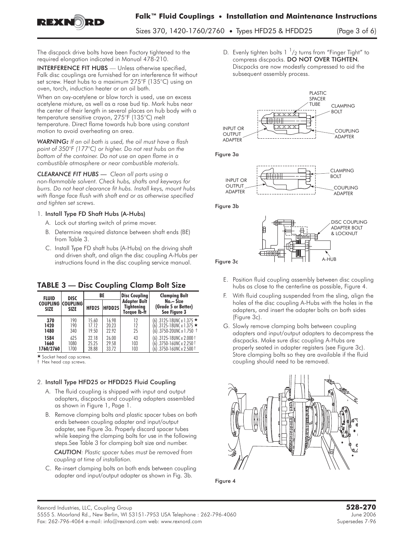

Sizes 370, 1420-1760/2760 • Types HFD25 & HFDD25 (Page 3 of 6)

**The discpack drive bolts have been Factory tightened to the required elongation indicated in Manual 478-210.**

INTERFERENCE FIT HUBS **— Unless otherwise specified, Falk disc couplings are furnished for an interference fit without set screw. Heat hubs to a maximum 275°F (135°C) using an oven, torch, induction heater or an oil bath.**

**When an oxy-acetylene or blow torch is used, use an excess acetylene mixture, as well as a rose bud tip. Mark hubs near the center of their length in several places on hub body with a temperature sensitive crayon, 275°F (135°C) melt temperature. Direct flame towards hub bore using constant motion to avoid overheating an area.**

*WARNING: If an oil bath is used, the oil must have a flash point of 350°F (177°C) or higher. Do not rest hubs on the bottom of the container. Do not use an open flame in a combustible atmosphere or near combustible materials.*

*CLEARANCE FIT HUBS — Clean all parts using a non-flammable solvent. Check hubs, shafts and keyways for burrs. Do not heat clearance fit hubs. Install keys, mount hubs with flange face flush with shaft end or as otherwise specified and tighten set screws.*

#### 1. Install Type FD Shaft Hubs (A-Hubs)

- **A. Lock out starting switch of prime mover.**
- **B. Determine required distance between shaft ends (BE) from Table 3.**
- **C. Install Type FD shaft hubs (A-Hubs) on the driving shaft and driven shaft, and align the disc coupling A-Hubs per instructions found in the disc coupling service manual.**

| <b>FLUID</b>                            | <b>DISC</b>         |                         | BE                      | <b>Disc Coupling</b>                              | <b>Clamping Bolt</b>                                                                       |
|-----------------------------------------|---------------------|-------------------------|-------------------------|---------------------------------------------------|--------------------------------------------------------------------------------------------|
| <b>COUPLING COUPLING</b><br><b>SIZE</b> | <b>SIZE</b>         | <b>HFD25</b>            | HFDD25                  | <b>Adapter Bolt</b><br>Tightening<br>Torave Ib-ft | No. - Size<br>(Grade 5 or Better)<br>See Figure 3                                          |
| 370<br>1420<br>1480                     | 190<br>190<br>340   | 15.60<br>17.12<br>19.50 | 16.98<br>20.23<br>22.92 | 12<br>12<br>25                                    | (6).3125-18UNC x 1.375 ★<br>$(6)$ .3125-18UNC x 1.375 $\star$<br>(6) .3750-20UNC x 1.750 † |
| 1584<br>1660<br>1760/2760               | 625<br>1080<br>1700 | 22.18<br>25.25<br>28.88 | 26.00<br>29.58<br>33.72 | 43<br>103<br>103                                  | (6) .3125-18UNC x 2.000 t<br>(6) .3750-16UNC x 2.250 †<br>$(6)$ .3750-16UNC x 2.500 t      |

TABLE 3 — Disc Coupling Clamp Bolt Size

\* Socket head cap screws.

† Hex head cap screws.

### 2. Install Type HFD25 or HFDD25 Fluid Coupling

- **A. The fluid coupling is shipped with input and output adapters, discpacks and coupling adapters assembled as shown in Figure 1, Page 1.**
- **B. Remove clamping bolts and plastic spacer tubes on both ends between coupling adapter and input/output adapter, see Figure 3a. Properly discard spacer tubes while keeping the clamping bolts for use in the following steps.See Table 3 for clamping bolt size and number.**

*CAUTION: Plastic spacer tubes must be removed from coupling at time of installation.*

**C. Re-insert clamping bolts on both ends between coupling adapter and input/output adapter as shown in Fig. 3b.**

**D. Evenly tighten bolts 1 <sup>1</sup> /2 turns from "Finger Tight" to compress discpacks.** DO NOT OVER TIGHTEN. Discpacks are now modestly compressed to aid the subsequent assembly process.



Figure 3a



Figure 3b



- **E. Position fluid coupling assembly between disc coupling hubs as close to the centerline as possible, Figure 4.**
- **F. With fluid coupling suspended from the sling, align the holes of the disc coupling A-Hubs with the holes in the adapters, and insert the adapter bolts on both sides (Figure 3c).**
- **G. Slowly remove clamping bolts between coupling adapters and input/output adapters to decompress the discpacks. Make sure disc coupling A-Hubs are properly seated in adapter registers (see Figure 3c). Store clamping bolts so they are available if the fluid coupling should need to be removed.**



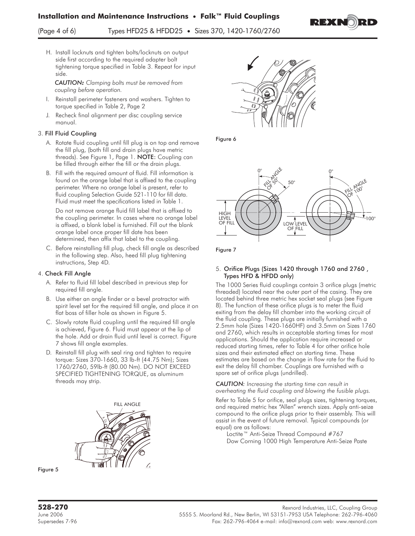(Page 4 of 6) Types HFD25 & HFDD25 • Sizes 370, 1420-1760/2760

**H. Install locknuts and tighten bolts/locknuts on output side first according to the required adapter bolt tightening torque specified in Table 3. Repeat for input side.**

*CAUTION: Clamping bolts must be removed from coupling before operation.*

- **I. Reinstall perimeter fasteners and washers. Tighten to torque specified in Table 2, Page 2**
- **J. Recheck final alignment per disc coupling service manual.**

#### 3. Fill Fluid Coupling

- **A. Rotate fluid coupling until fill plug is on top and remove the fill plug, (both fill and drain plugs have metric threads). See Figure 1, Page 1.** NOTE: **Coupling can be filled through either the fill or the drain plugs.**
- **B. Fill with the required amount of fluid. Fill information is found on the orange label that is affixed to the coupling perimeter. Where no orange label is present, refer to fluid coupling Selection Guide 521-110 for fill data. Fluid must meet the specifications listed in Table 1.**

Do not remove orange fluid fill label that is affixed to the coupling perimeter. In cases where no orange label is affixed, a blank label is furnished. Fill out the blank orange label once proper fill date has been determined, then affix that label to the coupling.

**C. Before reinstalling fill plug, check fill angle as described in the following step. Also, heed fill plug tightening instructions, Step 4D.**

#### 4. Check Fill Angle

- **A. Refer to fluid fill label described in previous step for required fill angle.**
- **B. Use either an angle finder or a bevel protractor with spirit level set for the required fill angle, and place it on flat boss of filler hole as shown in Figure 5.**
- **C. Slowly rotate fluid coupling until the required fill angle is achieved, Figure 6. Fluid must appear at the lip of the hole. Add or drain fluid until level is correct. Figure 7 shows fill angle examples.**
- **D. Reinstall fill plug with seal ring and tighten to require torque: Sizes 370-1660, 33 lb-ft (44.75 Nm); Sizes 1760/2760, 59lb-ft (80.00 Nm). DO NOT EXCEED SPECIFIED TIGHTENING TORQUE, as aluminum threads may strip.**





Figure 6



Figure 7

#### 5. Orifice Plugs (Sizes 1420 through 1760 and 2760 , Types HFD & HFDD only)

The 1000 Series fluid couplings contain 3 orifice plugs (metric threaded) located near the outer part of the casing. They are located behind three metric hex socket seal plugs (see Figure 8). The function of these orifice plugs is to meter the fluid exiting from the delay fill chamber into the working circuit of the fluid coupling. These plugs are initially furnished with a 2.5mm hole (Sizes 1420-1660HF) and 3.5mm on Sizes 1760 and 2760, which results in acceptable starting times for most applications. Should the application require increased or reduced starting times, refer to Table 4 for other orifice hole sizes and their estimated effect on starting time. These estimates are based on the change in flow rate for the fluid to exit the delay fill chamber. Couplings are furnished with a spare set of orifice plugs (undrilled).

*CAUTION: Increasing the starting time can result in overheating the fluid coupling and blowing the fusible plugs.*

Refer to Table 5 for orifice, seal plugs sizes, tightening torques, and required metric hex "Allen" wrench sizes. Apply anti-seize compound to the orifice plugs prior to their assembly. This will assist in the event of future removal. Typical compounds (or equal) are as follows:

Loctite™ Anti-Seize Thread Compound #767 Dow Corning 1000 High Temperature Anti-Seize Paste

Figure 5

**528-270**<br>June 2006 Rexnord Industries, LLC, Coupling Group<br>June 2006 3151-7953 USA Telephone: 262-796-4060 5555 S. Moorland Rd., New Berlin, WI 53151-7953 USA Telephone: 262-796-4060 Supersedes 7-96 Fax: 262-796-4064 e-mail: info@rexnord.com web: www.rexnord.com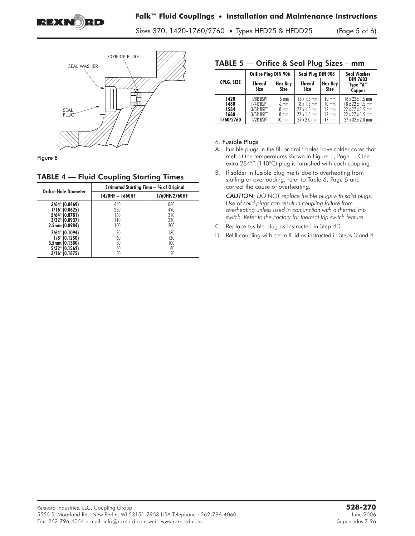

Sizes 370, 1420-1760/2760 • Types HFD25 & HFDD25 (Page 5 of 6)



Figure 8

#### TABLE 4 — Fluid Coupling Starting Times

| <b>Orifice Hole Diameter</b>                                                              | <b>Estimated Starting Time - % of Original</b> |                                 |  |  |  |  |
|-------------------------------------------------------------------------------------------|------------------------------------------------|---------------------------------|--|--|--|--|
|                                                                                           | 1420HF - 1660HF                                | 1760HF/2760HF                   |  |  |  |  |
| $3/64$ " (0.0469)<br>1/16" (0.0625<br>5/64"<br>10.0781<br>3/32" (0.0937<br>2.5mm (0.0984) | 440<br>250<br>160<br>110<br>100                | 860<br>490<br>310<br>220<br>200 |  |  |  |  |
| 7/64" (0.1094)<br>1/8"<br>(0.1250)<br>3.5mm (0.1380)<br>5/32"<br>10.1562<br>3/16"         | 80<br>60<br>50<br>40<br>30                     | 160<br>120<br>100<br>80<br>50   |  |  |  |  |

#### TABLE 5 — Orifice & Seal Plug Sizes – mm

| Orifice Plug DIN 906                      |                                                               |                                                                                          | Seal Plug DIN 908                                                                                  |                                                                                             | <b>Seal Washer</b>                                                                                                                 |
|-------------------------------------------|---------------------------------------------------------------|------------------------------------------------------------------------------------------|----------------------------------------------------------------------------------------------------|---------------------------------------------------------------------------------------------|------------------------------------------------------------------------------------------------------------------------------------|
| <b>CPLG. SIZE</b>                         | <b>Thread</b><br><b>Size</b>                                  | <b>Hex Key</b><br><b>Size</b>                                                            | <b>Thread</b><br><b>Size</b>                                                                       | Hex Key<br><b>Size</b>                                                                      | <b>DIN 7603</b><br>Type "A"<br>Copper                                                                                              |
| 1420<br>1480<br>1584<br>1660<br>1760/2760 | 1/8R BSPT<br>1/4R RSPT<br>3/8R BSPT<br>3/8R RSPT<br>1/2R BSPT | $5 \text{ mm}$<br>$6 \text{ mm}$<br>$8 \text{ mm}$<br>8 <sub>mm</sub><br>$10 \text{ mm}$ | $18 \times 1.5$ mm<br>$18 \times 15$ mm<br>$22 \times 1.5$ mm<br>$22x$ 15 mm<br>$27 \times 2.0$ mm | $10 \text{ mm}$<br>$10 \text{ mm}$<br>$12 \text{ mm}$<br>$12 \text{ mm}$<br>$17 \text{ mm}$ | 18 x 22 x 1.5 mm<br>$18 \times 72 \times 15$ mm<br>$22 \times 27 \times 1.5$ mm<br>$22 \times 27 \times 15$ mm<br>27 x 32 x 2.0 mm |

#### 6. Fusible Plugs

- **A. Fusible plugs in the fill or drain holes have solder cores that melt at the temperatures shown in Figure 1, Page 1. One extra 284°F (140°C) plug is furnished with each coupling.**
- **B. If solder in fusible plug melts due to overheating from stalling or overloading, refer to Table 6, Page 6 and correct the cause of overheating.**

*CAUTION: DO NOT replace fusible plugs with solid plugs. Use of solid plugs can result in coupling failure from overheating unless used in conjunction with a thermal trip switch. Refer to the Factory for thermal trip switch feature.*

- C. Replace fusible plug as instructed in Step 4D.
- **D. Refill coupling with clean fluid as instructed in Steps 3 and 4.**